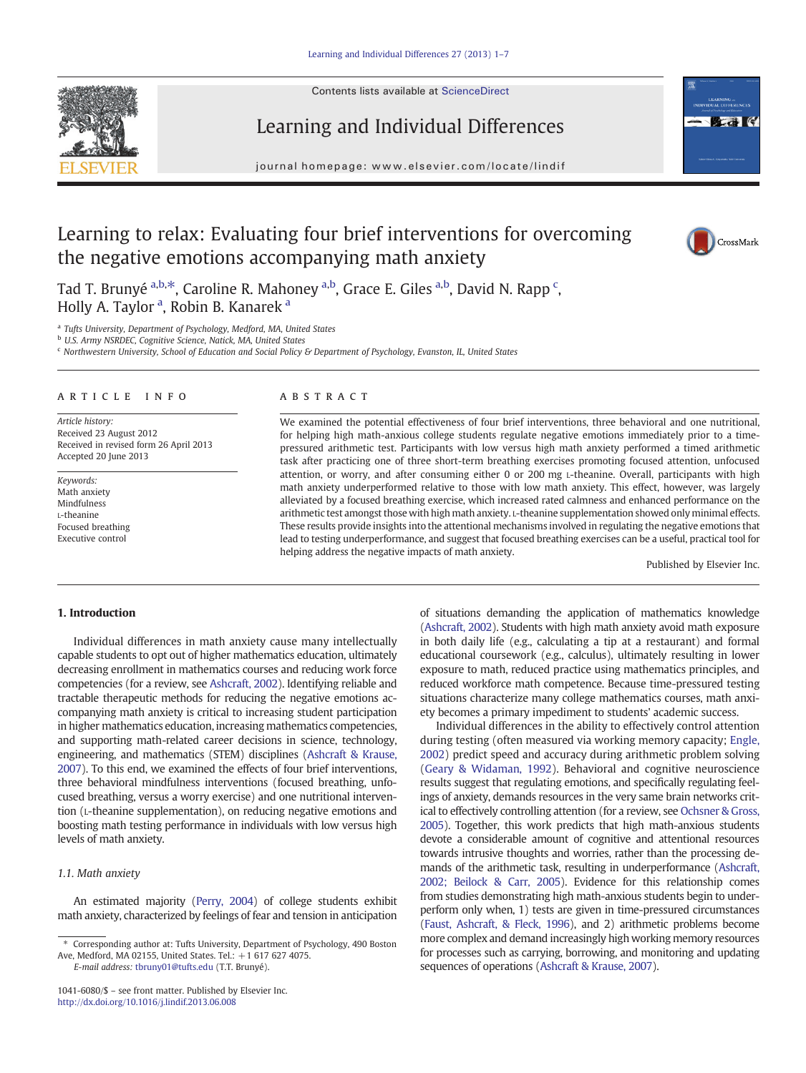Contents lists available at [ScienceDirect](http://www.sciencedirect.com/science/journal/10416080)





journal homepage: www.elsevier.com/locate/lindif



## Learning to relax: Evaluating four brief interventions for overcoming the negative emotions accompanying math anxiety



Tad T. Brunyé <sup>a,b, $\ast$ , Caroline R. Mahoney <sup>a,b</sup>, Grace E. Giles <sup>a,b</sup>, David N. Rapp <sup>c</sup>,</sup> Holly A. Taylor <sup>a</sup>, Robin B. Kanarek <sup>a</sup>

<sup>a</sup> Tufts University, Department of Psychology, Medford, MA, United States

<sup>b</sup> U.S. Army NSRDEC, Cognitive Science, Natick, MA, United States

<sup>c</sup> Northwestern University, School of Education and Social Policy & Department of Psychology, Evanston, IL, United States

#### article info abstract

Article history: Received 23 August 2012 Received in revised form 26 April 2013 Accepted 20 June 2013

Keywords: Math anxiety Mindfulness L-theanine Focused breathing Executive control

We examined the potential effectiveness of four brief interventions, three behavioral and one nutritional, for helping high math-anxious college students regulate negative emotions immediately prior to a timepressured arithmetic test. Participants with low versus high math anxiety performed a timed arithmetic task after practicing one of three short-term breathing exercises promoting focused attention, unfocused attention, or worry, and after consuming either 0 or 200 mg L-theanine. Overall, participants with high math anxiety underperformed relative to those with low math anxiety. This effect, however, was largely alleviated by a focused breathing exercise, which increased rated calmness and enhanced performance on the arithmetic test amongst those with high math anxiety. L-theanine supplementation showed only minimal effects. These results provide insights into the attentional mechanisms involved in regulating the negative emotions that lead to testing underperformance, and suggest that focused breathing exercises can be a useful, practical tool for helping address the negative impacts of math anxiety.

Published by Elsevier Inc.

### 1. Introduction

Individual differences in math anxiety cause many intellectually capable students to opt out of higher mathematics education, ultimately decreasing enrollment in mathematics courses and reducing work force competencies (for a review, see [Ashcraft, 2002](#page--1-0)). Identifying reliable and tractable therapeutic methods for reducing the negative emotions accompanying math anxiety is critical to increasing student participation in higher mathematics education, increasing mathematics competencies, and supporting math-related career decisions in science, technology, engineering, and mathematics (STEM) disciplines [\(Ashcraft & Krause,](#page--1-0) [2007](#page--1-0)). To this end, we examined the effects of four brief interventions, three behavioral mindfulness interventions (focused breathing, unfocused breathing, versus a worry exercise) and one nutritional intervention (L-theanine supplementation), on reducing negative emotions and boosting math testing performance in individuals with low versus high levels of math anxiety.

### 1.1. Math anxiety

An estimated majority [\(Perry, 2004](#page--1-0)) of college students exhibit math anxiety, characterized by feelings of fear and tension in anticipation

E-mail address: [tbruny01@tufts.edu](mailto:tbruny01@tufts.edu) (T.T. Brunyé).

of situations demanding the application of mathematics knowledge [\(Ashcraft, 2002\)](#page--1-0). Students with high math anxiety avoid math exposure in both daily life (e.g., calculating a tip at a restaurant) and formal educational coursework (e.g., calculus), ultimately resulting in lower exposure to math, reduced practice using mathematics principles, and reduced workforce math competence. Because time-pressured testing situations characterize many college mathematics courses, math anxiety becomes a primary impediment to students' academic success.

Individual differences in the ability to effectively control attention during testing (often measured via working memory capacity; [Engle,](#page--1-0) [2002\)](#page--1-0) predict speed and accuracy during arithmetic problem solving [\(Geary & Widaman, 1992\)](#page--1-0). Behavioral and cognitive neuroscience results suggest that regulating emotions, and specifically regulating feelings of anxiety, demands resources in the very same brain networks critical to effectively controlling attention (for a review, see [Ochsner & Gross,](#page--1-0) [2005\)](#page--1-0). Together, this work predicts that high math-anxious students devote a considerable amount of cognitive and attentional resources towards intrusive thoughts and worries, rather than the processing demands of the arithmetic task, resulting in underperformance [\(Ashcraft,](#page--1-0) [2002; Beilock & Carr, 2005](#page--1-0)). Evidence for this relationship comes from studies demonstrating high math-anxious students begin to underperform only when, 1) tests are given in time-pressured circumstances [\(Faust, Ashcraft, & Fleck, 1996](#page--1-0)), and 2) arithmetic problems become more complex and demand increasingly high working memory resources for processes such as carrying, borrowing, and monitoring and updating sequences of operations [\(Ashcraft & Krause, 2007](#page--1-0)).

<sup>⁎</sup> Corresponding author at: Tufts University, Department of Psychology, 490 Boston Ave, Medford, MA 02155, United States. Tel.: +1 617 627 4075.

<sup>1041-6080/\$</sup> – see front matter. Published by Elsevier Inc. <http://dx.doi.org/10.1016/j.lindif.2013.06.008>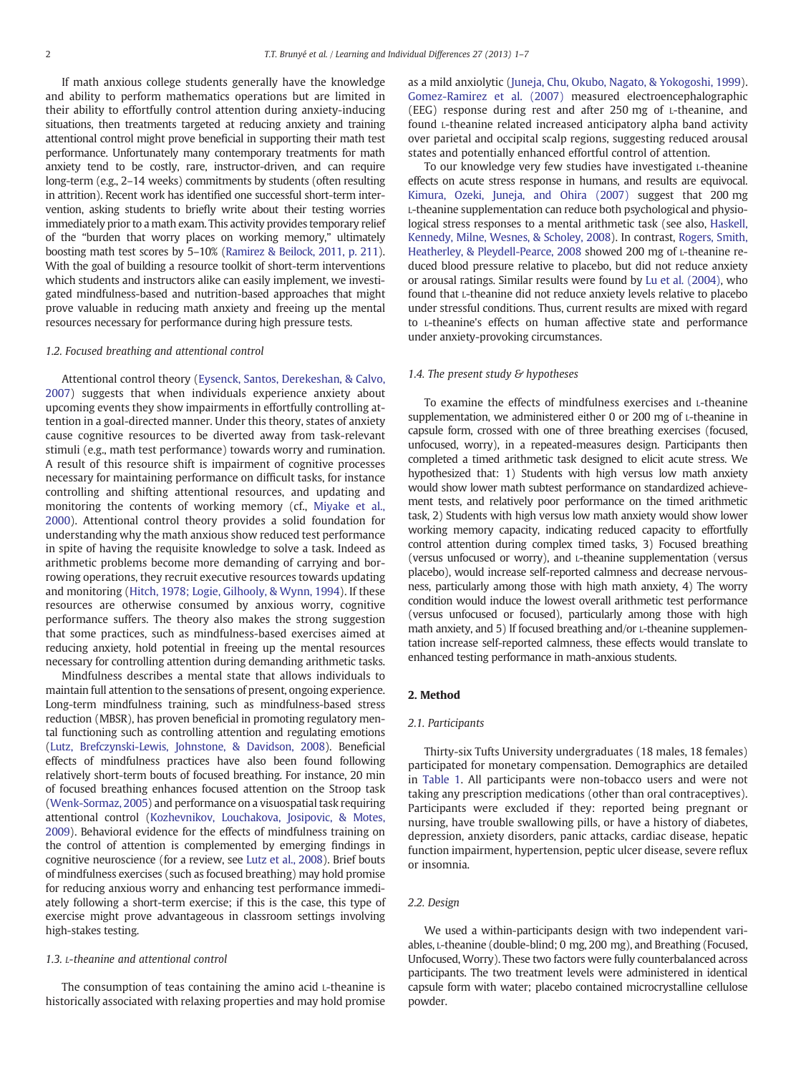If math anxious college students generally have the knowledge and ability to perform mathematics operations but are limited in their ability to effortfully control attention during anxiety-inducing situations, then treatments targeted at reducing anxiety and training attentional control might prove beneficial in supporting their math test performance. Unfortunately many contemporary treatments for math anxiety tend to be costly, rare, instructor-driven, and can require long-term (e.g., 2–14 weeks) commitments by students (often resulting in attrition). Recent work has identified one successful short-term intervention, asking students to briefly write about their testing worries immediately prior to a math exam. This activity provides temporary relief of the "burden that worry places on working memory," ultimately boosting math test scores by 5–10% [\(Ramirez & Beilock, 2011, p. 211\)](#page--1-0). With the goal of building a resource toolkit of short-term interventions which students and instructors alike can easily implement, we investigated mindfulness-based and nutrition-based approaches that might prove valuable in reducing math anxiety and freeing up the mental resources necessary for performance during high pressure tests.

#### 1.2. Focused breathing and attentional control

Attentional control theory ([Eysenck, Santos, Derekeshan, & Calvo,](#page--1-0) [2007\)](#page--1-0) suggests that when individuals experience anxiety about upcoming events they show impairments in effortfully controlling attention in a goal-directed manner. Under this theory, states of anxiety cause cognitive resources to be diverted away from task-relevant stimuli (e.g., math test performance) towards worry and rumination. A result of this resource shift is impairment of cognitive processes necessary for maintaining performance on difficult tasks, for instance controlling and shifting attentional resources, and updating and monitoring the contents of working memory (cf., [Miyake et al.,](#page--1-0) [2000\)](#page--1-0). Attentional control theory provides a solid foundation for understanding why the math anxious show reduced test performance in spite of having the requisite knowledge to solve a task. Indeed as arithmetic problems become more demanding of carrying and borrowing operations, they recruit executive resources towards updating and monitoring ([Hitch, 1978; Logie, Gilhooly, & Wynn, 1994](#page--1-0)). If these resources are otherwise consumed by anxious worry, cognitive performance suffers. The theory also makes the strong suggestion that some practices, such as mindfulness-based exercises aimed at reducing anxiety, hold potential in freeing up the mental resources necessary for controlling attention during demanding arithmetic tasks.

Mindfulness describes a mental state that allows individuals to maintain full attention to the sensations of present, ongoing experience. Long-term mindfulness training, such as mindfulness-based stress reduction (MBSR), has proven beneficial in promoting regulatory mental functioning such as controlling attention and regulating emotions [\(Lutz, Brefczynski-Lewis, Johnstone, & Davidson, 2008](#page--1-0)). Beneficial effects of mindfulness practices have also been found following relatively short-term bouts of focused breathing. For instance, 20 min of focused breathing enhances focused attention on the Stroop task [\(Wenk-Sormaz, 2005](#page--1-0)) and performance on a visuospatial task requiring attentional control [\(Kozhevnikov, Louchakova, Josipovic, & Motes,](#page--1-0) [2009\)](#page--1-0). Behavioral evidence for the effects of mindfulness training on the control of attention is complemented by emerging findings in cognitive neuroscience (for a review, see [Lutz et al., 2008\)](#page--1-0). Brief bouts of mindfulness exercises (such as focused breathing) may hold promise for reducing anxious worry and enhancing test performance immediately following a short-term exercise; if this is the case, this type of exercise might prove advantageous in classroom settings involving high-stakes testing.

#### 1.3. L-theanine and attentional control

The consumption of teas containing the amino acid L-theanine is historically associated with relaxing properties and may hold promise as a mild anxiolytic ([Juneja, Chu, Okubo, Nagato, & Yokogoshi, 1999](#page--1-0)). [Gomez-Ramirez et al. \(2007\)](#page--1-0) measured electroencephalographic (EEG) response during rest and after 250 mg of L-theanine, and found L-theanine related increased anticipatory alpha band activity over parietal and occipital scalp regions, suggesting reduced arousal states and potentially enhanced effortful control of attention.

To our knowledge very few studies have investigated L-theanine effects on acute stress response in humans, and results are equivocal. [Kimura, Ozeki, Juneja, and Ohira \(2007\)](#page--1-0) suggest that 200 mg L-theanine supplementation can reduce both psychological and physiological stress responses to a mental arithmetic task (see also, [Haskell,](#page--1-0) [Kennedy, Milne, Wesnes, & Scholey, 2008](#page--1-0)). In contrast, [Rogers, Smith,](#page--1-0) [Heatherley, & Pleydell-Pearce, 2008](#page--1-0) showed 200 mg of L-theanine reduced blood pressure relative to placebo, but did not reduce anxiety or arousal ratings. Similar results were found by [Lu et al. \(2004\),](#page--1-0) who found that L-theanine did not reduce anxiety levels relative to placebo under stressful conditions. Thus, current results are mixed with regard to L-theanine's effects on human affective state and performance under anxiety-provoking circumstances.

#### 1.4. The present study & hypotheses

To examine the effects of mindfulness exercises and L-theanine supplementation, we administered either 0 or 200 mg of L-theanine in capsule form, crossed with one of three breathing exercises (focused, unfocused, worry), in a repeated-measures design. Participants then completed a timed arithmetic task designed to elicit acute stress. We hypothesized that: 1) Students with high versus low math anxiety would show lower math subtest performance on standardized achievement tests, and relatively poor performance on the timed arithmetic task, 2) Students with high versus low math anxiety would show lower working memory capacity, indicating reduced capacity to effortfully control attention during complex timed tasks, 3) Focused breathing (versus unfocused or worry), and L-theanine supplementation (versus placebo), would increase self-reported calmness and decrease nervousness, particularly among those with high math anxiety, 4) The worry condition would induce the lowest overall arithmetic test performance (versus unfocused or focused), particularly among those with high math anxiety, and 5) If focused breathing and/or L-theanine supplementation increase self-reported calmness, these effects would translate to enhanced testing performance in math-anxious students.

#### 2. Method

#### 2.1. Participants

Thirty-six Tufts University undergraduates (18 males, 18 females) participated for monetary compensation. Demographics are detailed in [Table 1.](#page--1-0) All participants were non-tobacco users and were not taking any prescription medications (other than oral contraceptives). Participants were excluded if they: reported being pregnant or nursing, have trouble swallowing pills, or have a history of diabetes, depression, anxiety disorders, panic attacks, cardiac disease, hepatic function impairment, hypertension, peptic ulcer disease, severe reflux or insomnia.

#### 2.2. Design

We used a within-participants design with two independent variables, L-theanine (double-blind; 0 mg, 200 mg), and Breathing (Focused, Unfocused, Worry). These two factors were fully counterbalanced across participants. The two treatment levels were administered in identical capsule form with water; placebo contained microcrystalline cellulose powder.